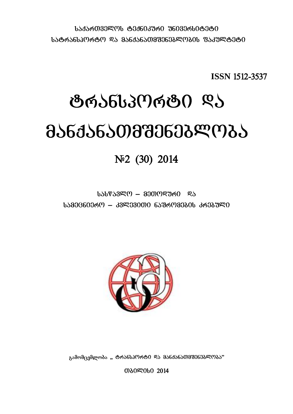$1.535$ რ $0.33$ Ლ $0.6336033$ რ $0.336033$ რ $0.08360$  $1$ ᲐᲢᲠᲐᲜᲡᲞᲝᲠᲢᲝ ᲓᲐ ᲛᲐᲜᲥᲐᲜᲐᲗᲛᲨᲔᲜᲔᲑᲚᲝᲑᲘᲡ ᲤᲐᲙᲣᲚᲢᲔᲢᲘ

**ISSN** 1512-3537

# <u>ტრანსპორტი</u> ღა  $a\$

No 2014

 $b\cdot b\cdot \sqrt{8\cdot 3}$  and  $c\cdot \sqrt{8\cdot 3}$  and  $d\cdot \sqrt{8\cdot 3}$  $1.5830660369 - 339330006533693330163633990$ 



გამომცემლობა " ტოანსპოოტი და მანძანათმშენებლობა"

**መ**ያወደ 2014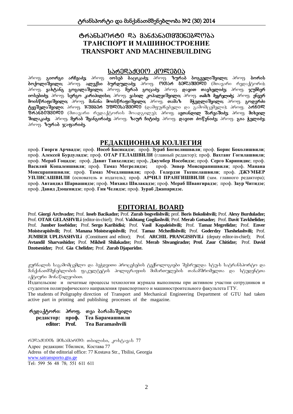## ঙ্গুৰ্ঠচাত্তসূত্ৰপূৰ্ণ উঠা ৪১চন্ত্ৰ এক্সিটিয়েমিয়েমিটা ক্ষমেত্ৰ **ТРАНСПОРТ И МАШИНОСТРОЕНИЕ TRANSPORT AND MACHINEBUILDING**

## ᲡᲐᲠᲔᲓᲐᲥᲪᲘᲝ ᲙᲝᲚᲔ<u>Ბ</u>ᲘᲐ

პროფ. გ<mark>იორგი არჩვაძე;</mark> პროფ. <mark>იოსებ ბაციკაძე;</mark> პროფ. ზურაბ ბოგველიშვილი; პროფ. ბორის  $\delta$ ოქოლიშვილი; პროფ. ალექსი ბურდულაძე; პროფ. ოთარ ბმლაშვილი (მთავარი რედაქტორი); პროფ. **გახტანგ გოგილაშვილი,** პროფ. **მერაბ გოცაძე**; პროფ. და<mark>ვით თავხელიძე;</mark> პროფ. ჯუმბერ იოსებიძე, პროფ. სერგო კარიპიდისი; პროფ. ვასილ კოპალეიშვილი; პროფ. თამაზ მეგრელიძე; პროფ. ენვერ<br>მოისწრაფიშვილი; პროფ. მანანა მოისწრაფიშვილი; პროფ. თამაზ - მჭედლიშვილი; პროფ. გოდერძი denoly rospodznego; 36mg. asbsbs denoly rospodznego; 36mg. msdsb ტყეშელაშვილი, პროფ. ჯუმბერ უფლისაუვილი დამფუძნებელი და გამომცემელი); პროფ. არჩილ  $\widetilde{\mathcal{B}}$ რანბ $\hat{\mathsf{0}}$ შშ $\hat{\mathsf{0}}$ ლი (მთავარი რედაქტორის მოადგილე); პროფ. ავთანდილ შარვაშიძე, პროფ. მიხეილ შილაკაძე; პროფ. მერაბ შვანგირაძე; პროფ. ზაურ ჩიტიძე; პროფ. დავით ძოწენიძე; პროფ. გია ჭელიძე; 3როფ. *ზურაბ ჯაფარიძე*.

## **РЕДАКЦИОННАЯ КОЛЛЕГИЯ**

проф. **Гиорги Арчвадзе**; проф. **Иосеб Басикадзе**; проф. **Зураб Богвелишвили**; проф. **Борис Боколишвили**; проф. **Алексей Бурдуладзе**; проф. **ОТАР ГЕЛАШВИЛИ** (главный редактор); проф. **Вахтанг Гогилашвили**; проф. **Мераб Гоцадзе**; проф. **Давит Тавхелидзе;** проф**. Джумбер Иосебидзе**; проф. **Серго Карипидис**; проф. **Василий Копалеишвили**; проф. **Тамаз Мегрелидзе;** проф. **Энвер Моисцрапишвили**; проф. **Манана Моисцрапишвили**; проф. **Тамаз Мчедлишвили;** проф. **Годердзи Ткешелашвили**; проф. **ДЖУМБЕР УПЛИСАШВИЛИ** (основатель и издатель); проф. **АРЧИЛ ПРАНГИШВИЛИ** (зам. главного редактора); проф. **Автандил Шарвашидзе**; проф. **Михаил Шилакадзе**; проф. **Мераб Швангирадзе**; проф. **Заур Читидзе**; проф. **Давид Дзоценидзе**; проф. **Гия Челидзе**; проф. **Зураб Джапаридзе.**

## **EDITORIAL BOARD**

Prof. **Giorgi Archvadze;** Prof. **Ioseb Bacikadze;** Prof. **Zurab bogvelishvili;** prof. **Boris Bokolishvili;** Prof. **Alexy Burduladze;**  Prof. **OTAR GELASHVILi** (editor-in-chief); Prof. **Vakhtang Gogilashvili**; Prof. **Merab Gotsadze;** Prof. **Davit Tavkhelidze;**  Prof. **Jumber Iosebidze;** Prof. **Sergo Karibidisi;** Prof. **Vasil Kopaleishvili;** Prof. **Tamaz Megrelidze;** Prof. **Enver Moistsrapishvili;** Prof. **Manana Moistsrapishvili;** Prof. **Tamaz Mchedlishvili;** Prof. **Goderdzy Tkeshelashvili;** Prof. **JUMBER UPLISASHVILi** (Constituent and editor); Prof. **ARCHIL PRANGISHVILi** (deputy editor-in-chief); Prof. **Avtandil Sharvashidze;** Prof. **Mikheil Shilakadze;** Prof. **Merab Shvangiradze; Prof. Zaur Chitidze;** Prof. **David Dzotsenidze;** Prof. **Gia Chelidze;** Prof. **Zurab Djaparidze.**

ჟურნალის საგამომცემლო და ბეჭდეითი პროცესების ტექნოლოგიები შესრულდა სტუ-ს სატრანსპორტო და მანქანათმშენებლობის ფაკულტეტის პოლიგრაფიის მიმართულების თანამშრომელთა და სტუდენტთა აქტიური მონაწილეობით.

Издательские и печатные процессы технологии журнала выполнены при активном участии сотрудников и студентов полиграфического направления транспортного и машиностроительного факультета ГТУ.

The students of Poligraphy direction of Transport and Mechanical Engineering Department of GTU had taken active part in printing and publishing processes of the magazine.

რედაქტორი: პროფ. თეა ბარამაშვილი **редактор: editor: проф. Теа Барамашвили Prof. Tea Baramashvili**

 $63\%$ 3d $600$ ს მ $0$ სამარ $00$ : თბილისი, კოსტავას 77 Адрес редакции: Тбилиси, Костава 77 Adress of the editorial office: 77 Kostava Str., Tbilisi, Georgia [www.satransporto.gtu.ge](http://www.satransporto.gtu.ge/) Tel: 599 56 48 78; 551 611 611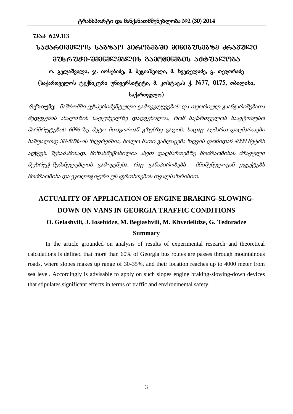#### $3\delta$  629.113

# $1.535$ ᲠᲗᲕᲔᲚᲝᲡ ᲡᲐᲒᲖᲐᲝ ᲞᲘᲠᲝᲑᲔᲑᲨᲘ ᲛᲘᲜᲘᲑᲣᲡᲔᲑᲖᲔ ᲫᲠᲐᲕᲣᲚᲘ  $336$ ᲠᲣᲭᲘ-ᲨᲔᲛᲜᲔᲚᲔᲑᲚᲘᲡ ᲒᲐᲛᲝᲧᲔᲜᲔᲑᲘᲡ ᲐᲥᲢᲣᲐᲚᲝᲑᲐ

ო. გელაშვილი, ჯ. იოსებიძე, მ. ბეგიაშვილი, მ. ხვედელიძე, გ. თედორაძე  $(k_2, k_1)$ რთველოს ტექნიკური უნივერსიტეტი, მ. კოსტავას ქ.  $N_2$ 77, 0175, თბილისი,  $\iota$ საქართველო)

 რეზიუმე: ნაშრომში ექსპერიმენტული გამოკვლევების და თეორიულ გაანგარიშებათა შედეგების ანალიზის საფუძველზე დადგენილია, რომ საქართველოს საავტობუსო მარშრუტების 60%-ზე მეტი მთაგორიან გზებზე გადის, სადაც აღმართ-დაღმართები საშუალოდ 30-50%-ის ზღვრებშია, ხოლო მათი განლაგება ზღვის დონიდან 4000 მეტრს აღწევს. შესაბამისად, მიზანშეწონილია ასეთ დაღმართებზე მოძრაობისას ძრავული მუხრუჭ-შემანელებლის გამოყენება, რაც განაპირობებს მნიშვნელოვან ეფექტებს მოძრაობისა და ეკოლოგიური უსაფრთხოების თვალსაზრისით.

# **ACTUALITY OF APPLICATION OF ENGINE BRAKING-SLOWING-DOWN ON VANS IN GEORGIA TRAFFIC CONDITIONS O. Gelashvili, J. Iosebidze, M. Begiashvili, M. Khvedelidze, G. Tedoradze Summary**

In the article grounded on analysis of results of experimental research and theoretical calculations is defined that more than 60% of Georgia bus routes are passes through mountainous roads, where slopes makes up range of 30-35%, and their location reaches up to 4000 meter from sea level. Accordingly is advisable to apply on such slopes engine braking-slowing-down devices that stipulates significant effects in terms of traffic and environmental safety.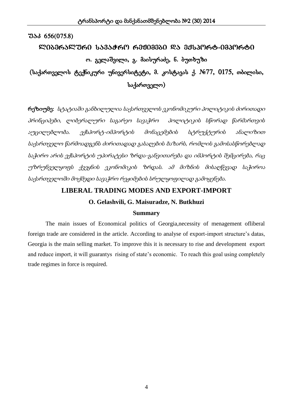# $180$ ᲑᲔᲠᲐᲚᲣᲠᲘ ᲡᲐᲒᲐᲭᲠᲝ ᲠᲔᲟᲘᲛᲔᲑᲘ ᲓᲐ ᲔᲥᲡᲞᲝᲠᲢ-ᲘᲛᲞᲝᲠᲢᲘ ო. გელაშვილი, გ. მაისურაძე, ნ. ბუთხუზი

 $(k_2, k_1)$ რთველოს ტექნიკური უნივერსიტეტი, მ. კოსტავას ქ.  $N_{\rm e}$ 77, 0175, თბილისი,  $\iota$ საქართველო)

რეზიუმე: სტატიაში განხილულია საქართველოს ეკონომიკური პოლიტიკის ძირითადი პრინციპები, ლიბერალური საგარეო სავაჭრო პოლიტიკის სწორად წარმართვის აუცილებლობა. ექსპორტ-იმპორტის მონაცემების სტრუქტურის ანალიზით საქართველო წარმოადგენს ძირითადად გასაღების ბაზარს, რომლის გამოსასწორებლად საჭირო არის ექსპორტის უპირატესი ზრდა-განვითარება და იმპორტის შემცირება, რაც უზრუნველყოფს ქვეყნის ეკონომიკის ზრდას. ამ მიზნის მისაღწევად საჭიროა საქართველოში მოქმედი სავაჭრო რეჟიმების სრულყოფილად გამოყენება.

## **LIBERAL TRADING MODES AND EXPORT-IMPORT**

## **O. Gelashvili, G. Maisuradze, N. Butkhuzi**

#### **Summary**

The main issues of Economical politics of Georgia,necessity of menagement ofliberal foreign trade are considered in the article. According to analyse of export-import structure's datas, Georgia is the main selling market. To improve this it is necessary to rise and development export and reduce import, it will guarantys rising of state's economic. To reach this goal using completely trade regimes in force is required.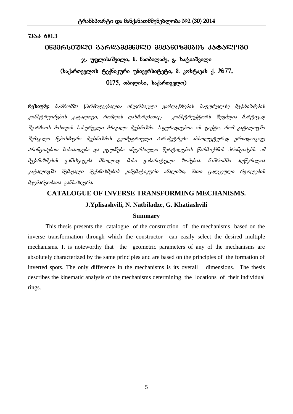#### 0630ᲠᲡᲘᲣᲚᲘ ᲒᲐᲠᲓᲐᲛᲥᲛᲜᲔᲚᲘ ᲛᲔᲥᲐᲜᲘᲖᲛᲔᲑᲘᲡ ᲙᲐᲢᲐᲚᲝᲒᲘ

# $x$ . უფლისაშვილი, ნ. ნათბილაძე, გ. ხატიაშვილი (საქართველოს ტექნიკური უნივერსიტეტი, მ. კოსტავას ქ. №77,  $0175$ , თბილისი, საქართველო)

 $\kappa$ ეზიუმე: ნაშრომში წარმოდგენილია ინვერსიული გარდაქმნების საფუძველზე მექანიზმების  $k$ ონსტრუირების კატალოგი, რომლის დახმარებითაც "კონსტრუქტორს შეუძლია მარტივად შეარჩიოს მისთვის სასურველი მრავალი მექანიზმი. საყურადღებოა ის ფაქტი, რომ კატალოვში შემავალი ნებისმიერი მექანიზმის გეომეტრიული პარამეტრები აბსოლუტურად ერთიდაიგივე პრინციპებით ხასიათდება და ეფუძნება ინვერსიული წერტილების წარმოქმნის პრინციპებს. ამ მექანიზმების განსხვავება მხოლოდ მისი გაბარიტული ზომებია. ნაშრომში აღწერილია კატალოგში შემავალი მექანიზმების კინემატიკური ანალიზი, მათი ცალკეული რგოლების  $d$ დებარეობათა ვან $b$ აზღვრა.

# **CATALOGUE OF INVERSE TRANSFORMING MECHANISMS.**

## **J.Yplisashvili, N. Natbiladze, G. Khatiashvili**

#### **Summary**

This thesis presents the catalogue of the construction of the mechanisms based on the inverse transformation through which the constructor can easily select the desired multiple mechanisms. It is noteworthy that the geometric parameters of any of the mechanisms are absolutely characterized by the same principles and are based on the principles of the formation of inverted spots. The only difference in the mechanisms is its overall dimensions. The thesis describes the kinematic analysis of the mechanisms determining the locations of their individual rings.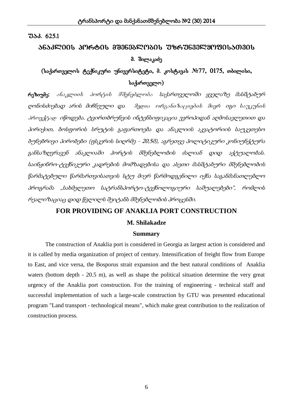## $733.625.1$

# ᲐᲜᲐᲙᲚᲘᲘᲡ ᲞᲝᲠᲢᲘᲡ ᲛᲨᲔᲜᲔᲑᲚᲝᲑᲘᲡ ᲣᲖᲠᲣᲜᲕᲔᲚᲧᲝᲤᲘᲡᲐᲗᲕᲘᲡ მ. შილაკაძე

## $($ საქართველოს ტექნიკური უნივერსიტეტი, მ. კოსტავას  $N$ 277, 0175, თბილისი, საქართველო $)$

რეზიუმე: ა*ნაკლიის პორტის მშენებლობა საქართველოში ყველაზე მასშტაბურ* ღონისძიებად არის მიჩნეული და მედია ორგანიზაციების მიერ იგი საუკუნის პროექტად იწოდება. ტვირთბრუნვის ინტენსიფიკაცია ევროპიდან აღმოსავლეთით და პირიქით, ბოსფორის სრუტის გაფართოება და ანაკლიის აკვატორიის საუკეთესო ბუნებრივი პირობები (ფსკერის სიღრმე - 20,5მ), აგრეთვე პოლიტიკური კონიუნქტურა განსაზღვრავენ ანაკლიაში პორტის მშენებლობის ძალიან დიდ აქტუალობას. საინჟინრო-ტექნიკური კადრების მომზადებისა და ასეთი მასშტაბური მშენებლობის წარმატებული წარმართვისათვის სტუ მიერ წარმოდგენილი იქნა საგანმანათლებლო პროგრამა "სახმელეთო სატრანსპორტო-ტექნოლოგიური საშუალებები", რომლის რეალიზაციაც დიდ წვლილს შეიტანს მშენებლობის პროცესში.

## **FOR PROVIDING OF ANAKLIA PORT CONSTRUCTION**

#### **M. Shilakadze**

#### **Summary**

The construction of Anaklia port is considered in Georgia as largest action is considered and it is called by media organization of project of century. Intensification of freight flow from Europe to East, and vice versa, the Bosporus strait expansion and the best natural conditions of Anaklia waters (bottom depth - 20.5 m), as well as shape the political situation determine the very great urgency of the Anaklia port construction. For the training of engineering - technical staff and successful implementation of such a large-scale construction by GTU was presented educational program "Land transport - technological means", which make great contribution to the realization of construction process.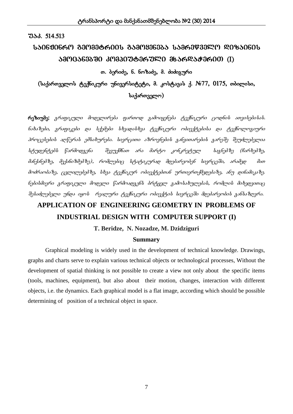#### $33.514.513$

# $150630660$  გეომეტრ $001$  გამოყენება  $15360$ წველო ღიზაინის  $330^\circ$ 036030  $30^\circ$ 0300036000  $36^\circ$ 06000  $(1)^\circ$

#### თ. ბერიძე, ნ. ნოზაძე, მ. ძიძიგური

 $(k_3)$ ართველოს ტექნიკური უნივერსიტეტი, მ. კოსტავას ქ. №77, 0175, თბილისი, საქართველო)

რეზიუმე: *გრაფიკული მოდელირება ფართოდ გამოიყენება ტექნიკური ცოდნის ათვისებისას.*  $\delta$ ახაზები, გრაფიკები და სქემები სხვადასხვა ტექნიკური ობიექტებისა და ტექნოლოგიური პროცესების აღწერას ემსახურება. სივრცითი აზროვნების განვითარების გარეშე შეუძლებელია სტუდენტებს წარმოდგენა მევუქმნათ არა მარტო კონკრეტულ საგნებზე (ჩარხებზე, .<br>მანქანებზე, მექანიზმებზე), რომლებიც სტატიკურად მდებარეობენ სივრცეში, არამედ მათ .<br>მოძრაობაზე, <sub>(</sub>კვლილებებზე, სხვა ტექნიკურ ობიექტებთან ურთიერთქმედებაზე, ანუ დინამიკაზე. ნებისმიერი გრაფიკული მოდელი წარმოადგენს ბრტყელ გამოსაზულებას, რომლის მიხედვითაც შესაძლებელი უნდა იყოს რეალური ტექნიკური ობიექტის სივრცეში მდებარეობის განსაზღვრა.

# **APPLICATION OF ENGINEERING GEOMETRY IN PROBLEMS OF INDUSTRIAL DESIGN WITH COMPUTER SUPPORT (I)**

## **T. Beridze, N. Nozadze, M. Dzidziguri**

#### **Summary**

 Graphical modeling is widely used in the development of technical knowledge. Drawings, graphs and charts serve to explain various technical objects or technological processes, Without the development of spatial thinking is not possible to create a view not only about the specific items (tools, machines, equipment), but also about their motion, changes, interaction with different objects, i.e. the dynamics. Each graphical model is a flat image, according which should be possible determining of position of a technical object in space.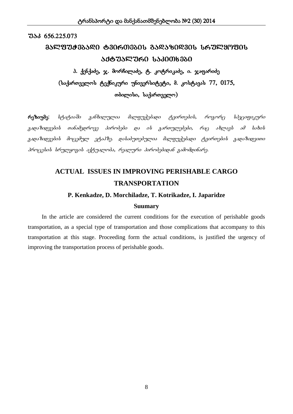#### $7336.56.225.073$

# $35^\circ$ ଅଅ୫ $35^\circ$ ୧೧ Ტ $30^\circ$ ഗ $30^\circ$   $35^\circ$ ୧ $30^\circ$   $30^\circ$   $30^\circ$ ᲐᲥᲢᲣᲐᲚᲣᲠᲘ ᲡᲐᲙᲘᲗᲮᲔᲑᲘ

# პ. ქენქაძე, ჯ. მორჩილაძე, ტ. კოტრიკაძე, ი. ჯაფარიძე  $($ საქართველოს ტექნიკური უნივერსიტეტი, მ. კოსტავას 77, 0175, თბილისი, საქართველო)

რეზიუმე: სტატიაში განხილულია მალფუჭებადი ტვირთების, როგორც სპეციფიკური  $g$ ადაზიდვების თანამედროვე პირობები და ის გართულებები, რაც ახლავს ამ სახის გადაზიდვების მოცემულ ეტაპზე. დასაბუთებულია მალფუჭებადი ტვირთების გადაზიდვითი  $\delta$ როცესის სრულყოგის აქტუალობა, რეალური პირობებიდან გამომდინარე.

# **ACTUAL ISSUES IN IMPROVING PERISHABLE CARGO TRANSPORTATION**

#### **P. Kenkadze, D. Morchiladze, T. Kotrikadze, I. Japaridze**

#### **Suumary**

In the article are considered the current conditions for the execution of perishable goods transportation, as a special type of transportation and those complications that accompany to this transportation at this stage. Proceeding form the actual conditions, is justified the urgency of improving the transportation process of perishable goods.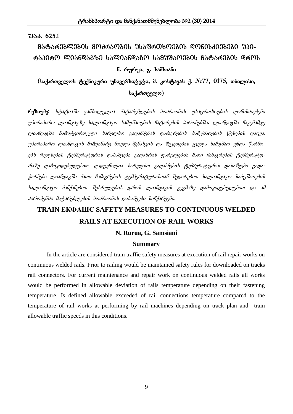## $733.625.1$

# ᲛᲐᲢᲐᲠᲔᲑᲚᲔᲑᲘᲡ ᲛᲝᲫᲠᲐᲝᲑᲘᲡ ᲣᲡᲐᲤᲠᲗᲮᲝᲔᲑᲘᲡ ᲦᲝᲜᲘᲡᲫᲘᲔᲑᲔᲑᲘ ᲣᲞᲘ- $\sigma$  . The Papie Cataronagan samua saliang saling termino saling termino di  $\sigma$ ნ. რურუა,  $a$ . სამსიანი

(საქართველოს ტექნიკური უნივერსიტეტი, მ. კოსტავას ქ. №77, 0175, თბილისი,  $\iota$ საქართველო)

 $\kappa$ ეზიუმე: სტატიაში განხილულია მატარებლების მოძრაობის უსაფრთხოების ღონისძიებები უპირაპირო ლიანდავზე სალიანდავო სამუშაოების ჩატარების პირობებში. ლიანდავში ჩავებამდე ლიანდავში ჩამოტვირთული სარელსო გადაბმების დამავრების სამუშაოების წესების დაცვა. უპირაპირო ლიანდაგის მიმდინარე მოვლა-შენახვის და შეკეთების ყველა სამუშაო უნდა წარმოებს რელსების ტემპერატურის დასაშვები გადახრის ფარგლებში მათი ჩამაგრების ტემპერატურაზე დამოკიდებულებით. დადგენილია სარელსო გადაბმების ტემპერატურის დასაშვები გადაკარბება ლიანდავში მათი ჩამავრების ტემპერატურასთან შედარებით სალიანდავო სამუშაოების  $\bar{b}$ ალიანდავო მანქანებით შესრულები $\bar{b}$  დრო $\bar{b}$  ლიანდავი $\bar{b}$  გევმაზე დამოკიდებულებით და ამ  $\delta$ ირობებში მატარებლების მოძრაობის დასაშვები სიჩქარეები.

# **TRAIN ЕКФАШС SAFETY MEASURES TO CONTINUOUS WELDED RAILS AT EXECUTION OF RAIL WORKS**

#### **N. Rurua, G. Samsiani**

#### **Summary**

In the article are considered train traffic safety measures at execution of rail repair works on continuous welded rails. Prior to railing would be maintained safety rules for downloaded on tracks rail connectors. For current maintenance and repair work on continuous welded rails all works would be performed in allowable deviation of rails temperature depending on their fastening temperature. Is defined allowable exceeded of rail connections temperature compared to the temperature of rail works at performing by rail machines depending on track plan and train allowable traffic speeds in this conditions.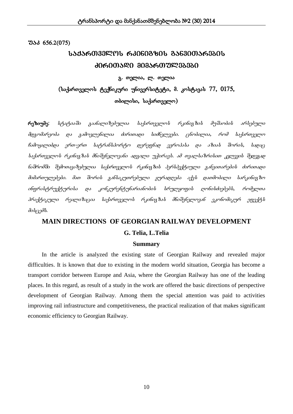$3\delta$  656.2(075)

# $153560332901$  630603801 3563000563601 ᲫᲘᲠᲘᲗᲐᲓᲘ ᲛᲘᲛᲐᲠᲗᲣᲚᲔᲑᲔᲑᲘ

გ. თელია, ლ. თელია

 $($ საქართველოს ტექნიკური უნივერსიტეტი, მ. კოსტავას  $77, 0175$ ,

 $\sigma$ ბილისი, საქართველო)

 $\kappa$ ეზიუმე: სტატიაში გაანალიზებულია საქართველოს რკინიგზის მუშაობის არსებული .<br>d@zომარეობა და zამოვლენილია ძირითადი სიძნელეები. ცნობილია, რომ საქართველო hამოყალიბდა ერთ-ერთ საგრანსპორგო დერეფნად ევროპასა და აზიას შორის, სადაც  $\iota$ საქართველოს რკინიგზას მნიშვნელოვანი ადგილი უჭირავს. ამ თვალ $\iota$ აზრისით კვლევის შედევად  $b$ აშრომში შემოთავაზებულია საქართველოს რკინივზის პერსპექტიული განვითარების ძირითადი dodsრთულებები. dsთ შორის განსაკუთრებული ყურადღება აქვს დათმობილი სარკინიგზო obფრასტრუქტურისა და კონკურენტუნარიანობის სრულყოფის ღონისძიებებს, რომელთა პრაქტიკული რეალიზაცია საქართველოს რკინიგზას მნიშვნელოვან ეკონომიკურ ეფექტს  $\partial$ o $\partial$ <sub>G</sub> $\partial$  $\partial$  $\partial$ 

# **MAIN DIRECTIONS OF GEORGIAN RAILWAY DEVELOPMENT**

#### **G. Telia, L.Telia**

#### **Summary**

In the article is analyzed the existing state of Georgian Railway and revealed major difficulties. It is known that due to existing in the modern world situation, Georgia has become a transport corridor between Europe and Asia, where the Georgian Railway has one of the leading places. In this regard, as result of a study in the work are offered the basic directions of perspective development of Georgian Railway. Among them the special attention was paid to activities improving rail infrastructure and competitiveness, the practical realization of that makes significant economic efficiency to Georgian Railway.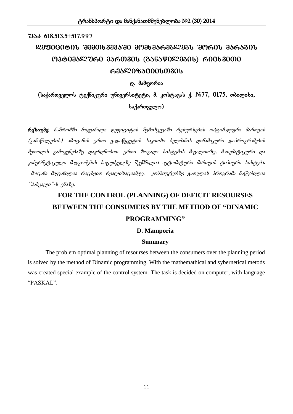# $7336618.513.5+517.997$  $\mathcal{R}3$ 3000000  $\mathcal{R}33300$   $\mathcal{R}333330$  and  $\mathcal{R}3630$  and  $\mathcal{R}3600$  and  $\mathcal{R}3600$  and  $\mathcal{R}3600$  and  $\mathcal{R}3600$  and  $\mathcal{R}3600$  and  $\mathcal{R}3600$  and  $\mathcal{R}3600$  and  $\mathcal{R}3600$  and  $\mathcal{R}3600$  and  $M3$ � $O3$ ᲐᲚᲣᲠᲘ  $3$ ᲐᲠᲗᲕᲘᲡ (ᲒᲐᲜᲐᲬᲘᲚᲔᲑᲘᲡ) ᲠᲘᲪᲮᲕᲘᲗᲘ ᲠᲔᲐᲚᲘᲖᲐᲪᲘᲘᲡᲗᲕᲘᲡ

დ. მამფორია

 $(k_3)$ ართველოს ტექნიკური უნივერსიტეტი, მ. კოსტავას ქ. №77, 0175, თბილისი,  $\iota$ საქართველო)

 $\epsilon$ ეზიუმე: ნაშრომში მოყვანილი დეფიციტის შემთხვევაში რესურსების ოპტიმალური მართვის  $(g$ ანაწილების) ამოცანის ერთი გადაწყვეტის საკითხი ბელმანის დინამიკური დაპროგრამების მეთოდის გამოყენებაზე დაყრდნობით. ერთი ზოგადი სისტემის მაგალითზე, მათემატიკური და კიბერნეტიკული მიდგომების საფუძველზე შექმნილია ავტომატური მართვის ტიპიური სისტემა. მოცანა მიყვანილია რიცხვით რეალიზაციამდე. კომპიუტერზე გათვლის პროგრამა ჩაწერილია '3sb, 3sp, "-b gbs 8g.

# **FOR THE CONTROL (PLANNING) OF DEFICIT RESOURSES BETWEEN THE CONSUMERS BY THE METHOD OF "DINAMIC PROGRAMMING"**

## **D. Mamporia**

## **Summary**

The problem optimal planning of resourses between the consumers over the planning period is solved by the method of Dinamic programming. With the mathemathical and sybernetical metods was created special example of the control system. The task is decided on computer, with language "PASKAL".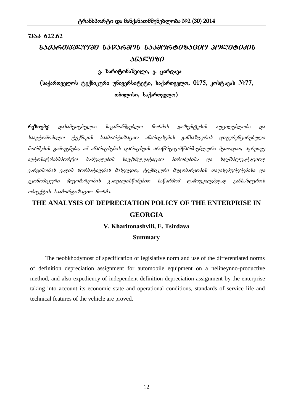## ISISKOIII PIO ISFSKAPI ISSAPKOOBSGOPI SPINOOOJOI ᲐᲜᲐᲚᲘᲖᲘ

 $\alpha$ . ხარიტონაშვილი, ე. ცირდავა

(საქართველოს ტექნიკური უნივერსიტეტი, საქართველო, 0175, კოსტავას №*77*, თბილისი, საქართველო)

რეზიუმე: დასაბუთებულია საკანონმდებლო ნორმის დაზუსტების აუცილებლობა და  $\emph{b}$ აკუტომობილო ტექნიკი $\emph{b}$  საამორტიზაციო ანარიც $\emph{b}$ ები $\emph{b}$  გან $\emph{b}$ აზღვრი $\emph{b}$  დიფერენცირებული  $b$ ორმების გამოყენება, ამ ანარიც $b$ ების დარიც $b$ ვის არაწრფივ-მწარმოებლური მეთოდით, აგრეთვე  $\alpha$ კეტოსატრანსპორტო საშუალების საექსპლუატაციო პირობებისა და საექსპლუატაციოდ zარგისობის ვადის ნორმატივების მიხედვით, ტექნიკური მდგომარეობის თავისებურერებისა და  $R$ კონომიკური მდგომარეობის გათვალისწინებით საწარმომ დამოუკიდებლად განსაზღვროს moondight besomming began begins.

# **THE ANALYSIS OF DEPRECIATION POLICY OF THE ENTERPRISE IN GEORGIA V. Kharitonashvili, E. Tsirdava**

#### **Summary**

 The neobkhodymost of specification of legislative norm and use of the differentiated norms of definition depreciation assignment for automobile equipment on a nelineynno-productive method, and also expediency of independent definition depreciation assignment by the enterprise taking into account its economic state and operational conditions, standards of service life and technical features of the vehicle are proved.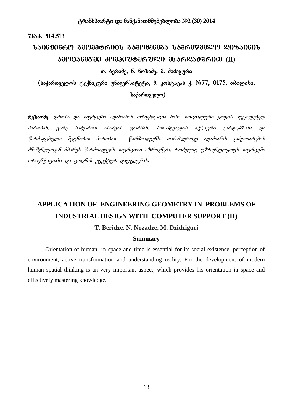#### $33.514.513$

# ᲡᲐᲘᲜᲟᲘᲜᲠᲝ ᲒᲔᲝᲛᲔᲢᲠᲘᲘᲡ ᲒᲐᲛᲝᲧᲔᲜᲔᲑᲐ ᲡᲐᲛᲠᲔᲬᲕᲔᲚᲝ ᲓᲘᲖᲐᲘᲜᲘᲡ  $380^\circ$ 363330  $30^\circ$ 30309836320 36362383600 (II)

## თ. ბერიძე, ნ. ნოზაძე, მ. ძიძიგური

 $($ საქართველოს ტექნიკური უნივერსიტეტი, მ. კოსტავას ქ. №77, 0175, თბილისი, საქართველო)

 $\epsilon$ ოზიუმე: დროსა და სივრცეში ადამიანის ორიენტაცია მისი სოციალური ყოფის აუცილებელ  $\delta$ ირობას, ვარე სამყაროს ასახვის ფორმას, სინამდვილის აქტიური გარდაქმნისა და  $f$ არმატებული შეცნობის პირობას  $f$ არმოადგენს. თანამედროვე ადამიანის განვითარების .<br>მნიშვნელოვან მხარეს წარმოადგენს სივრცითი აზროვნება, რომელიც უზრუნველყოფს სივრცეში  $\alpha$ რიენტაციასა და ცოდნის ეფექტურ დაუფლებას.

# **APPLICATION OF ENGINEERING GEOMETRY IN PROBLEMS OF INDUSTRIAL DESIGN WITH COMPUTER SUPPORT (II)**

#### **T. Beridze, N. Nozadze, M. Dzidziguri**

#### **Summary**

 Orientation of human in space and time is essential for its social existence, perception of environment, active transformation and understanding reality. For the development of modern human spatial thinking is an very important aspect, which provides his orientation in space and effectively mastering knowledge.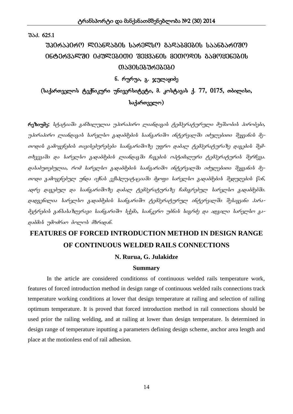შაპ. 625.1

# $30$ ᲠᲐᲞᲘᲠᲝ ᲚᲘᲐᲜᲓᲐᲒᲘᲡ ᲡᲐᲠᲔᲚᲡᲝ ᲒᲐᲓᲐᲑᲛᲔᲑᲘᲡ ᲡᲐᲐᲜᲒᲐᲠᲘᲨᲝ intervalSi iZulebiTi Seyvanis meTodis gamoyenebis ᲗᲐᲕᲘᲡᲔᲑᲣᲠᲔᲑᲔᲑᲘ

## $6.$  რურუა, გ. ჯულაყიძე

# $($ საქართველოს ტექნიკური უნივერსიტეტი, მ. კოსტავას ქ. 77, 0175, თბილისი, საქართველო $)$

 $\epsilon$ იეზიუმე: სტატიაში ვანხილულია უპირაპირო ლიანდავის ტემპერატურული მუშაობის პირობები, უპირაპირო ლიანდაგის სარელსო გადაბმების საანგარიშო ინტერვალში იძულებითი შეყვანის მეთოდის გამოყენების თავისებურებები საანგარიშოზე უფრო დაბალ ტემპერატურაზე დაგების შემთხვევაში და სარელსო გადაბმების ლიანდაგში ჩაგების ოპტიმალური ტემპერატურის შერჩევა. დასაბუთებულია, რომ სარელსო გადაბმების საანგარიშო ინტერვალში იძულებითი შეყვანის მეornoo zadryybyd moos ofbab yflidor nagaryad dyrigo baryon zaoaddydob dyo noydob fob, ადრე დაგებულ და საანგარიშოზე დაბალ ტემპერატურაზე ჩამაგრებულ სარელსო გადაბმებში. დადგენილია სარელსო გადაბმების საანგარიშო ტემპერატურულ ინტერვალში შესაყვანი პარამეტრების განსასაზღვრავი საანგარიშო სქემა, საანკერო უბნის სიგრძე და ადგილი სარელსო გაgosdab ndadasa dagaal dbagosb.

# **FEATURES OF FORCED INTRODUCTION METHOD IN DESIGN RANGE OF CONTINUOUS WELDED RAILS CONNECTIONS**

## **N. Rurua, G. Julakidze**

#### **Summary**

In the article are considered conditionss of continuous welded rails temperature work, features of forced introduction method in design range of continuous welded rails connections track temperature working conditions at lower that design temperature at railing and selection of railing optimum temperature. It is proved that forced introduction method in rail connections should be used prior the railing welding, and at railing at lower than design temperature. Is determined in design range of temperature inputting a parameters defining design scheme, anchor area length and place at the motionless end of rail adhesion.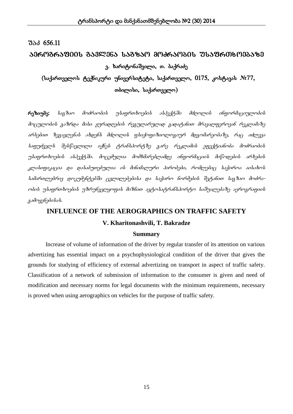## ᲐᲔᲠᲝᲒᲠᲐᲤᲘᲘᲡ ᲒᲐᲕᲚᲔᲜᲐ ᲡᲐᲒᲖᲐᲝ ᲛᲝᲫᲠᲐᲝᲑᲘᲡ ᲣᲡᲐᲤᲠᲗᲮᲝᲔᲑᲐᲖᲔ  $3.$  ხარიტონაშვილი, თ. ბაქრაძე

 $($ საქართველოს ტექნიკური უნივერსიტეტი, საქართველო,  $0175$ , კოსტავას  $N$ °77, თბილისი, საქართველო)

 $\kappa$ ეზიუმე: სავ $\delta$ აო მოძრაობის უსაფრთხოების ასპექტში მძღოლის ინფორმაციულობის მოცულობის გაზრდა მისი ყურადღების რეგულარულად გადატანით მრავალფეროვან რეკლამაზე  $\delta$ არსებით ზეგავლენას ახდენს მძღოლის ფსიქოფიზიოლოგიურ მდგომარეობაზე, რაც იძლევა  $\iota$ საფუძველ $\iota$ ს შე $\iota$ წავლილი იქნე $\iota$  გრან $\iota$ პორგზე გარე რეკლამი $\iota$  ეფექტიანობა მოძრაობი $\iota$ უსაფრთხოების ასპექტში. მოცემულია მომხმარებლამდე ინფორმაციის მიწოდების არხების  $k$ კლასიფიკაცია და დასაბუთებულია ის მინიმალური პირობები, რომლებიც საჭიროა აისახო $\bm{b}$ სამართლებრივ დოკუმენტებში ცვლილებებისა და საჭირო ნორმების შეტანით საგზაო მოძრა- $\omega$ იბის უსაფრთხოების უზრუნველყოფის მიზნით ავტოსატრანსპორტო საშუალებაზე აეროგრაფიის  $a$ sdry $a$ b $a$ bsb.

## **INFLUENCE OF THE AEROGRAPHICS ON TRAFFIC SAFETY**

#### **V. Kharitonashvili, T. Bakradze**

#### **Summary**

Increase of volume of information of the driver by regular transfer of its attention on various advertizing has essential impact on a psychophysiological condition of the driver that gives the grounds for studying of efficiency of external advertizing on transport in aspect of traffic safety. Classification of a network of submission of information to the consumer is given and need of modification and necessary norms for legal documents with the minimum requirements, necessary is proved when using aerographics on vehicles for the purpose of traffic safety.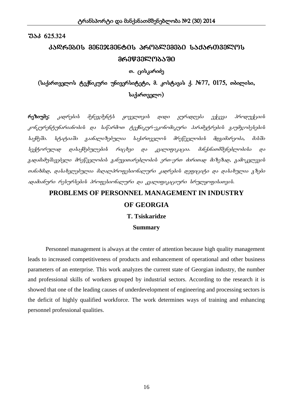# kadrebis menejmentis problemebi saqarTvelos 9**@989**mrewo

## თ. ცისკარიძე

## $(k_2, k_1)$ რთველოს ტექნიკური უნივერსიტეტი, მ. კოსტავას ქ.  $N_2$ 77, 0175, თბილისი,  $\iota$ საქართველო)

 $\epsilon$ ოზიუმე: კადრების მენეჯმენტ $b$  ყოველთვის დიდი ყურადღება ექცევა პროდუქციის კონკურენტუნარიანობის და საწარმოთ ტექნიკურ-ეკონომიკური პარამეტრების გაუმჯობესების bs.fdgში. სტატიაში გაანალიზებულია საქართველოს მრეწველობის მდგიმარეობა, მასში  $\ell$ ექტორულად და $\ell$ აქმებულები $\ell$  რიც $\ell$ ვი და კვალიფიკაცია. მანქანათმშენებლობი $\ell$ ა და  $g$ ადამამუშავებელი მრეწველობის განუვითარებლობის ერთ-ერთ ძირითად მიზეზად, გამოკვლევის თანახმად, დასახელებულია მაღალპროფესიონალური კადრების დეფიციტი და დასახულია გზები sposdasbyma maliymbydali dmogglianbsmyma pos gasmagagigayma limymyngalisogali.

# **PROBLEMS OF PERSONNEL MANAGEMENT IN INDUSTRY OF GEORGIA**

**T. Tsiskaridze**

**Summary**

Personnel management is always at the center of attention because high quality management leads to increased competitiveness of products and enhancement of operational and other business parameters of an enterprise. This work analyzes the current state of Georgian industry, the number and professional skills of workers grouped by industrial sectors. According to the research it is showed that one of the leading causes of underdevelopment of engineering and processing sectors is the deficit of highly qualified workforce. The work determines ways of training and enhancing personnel professional qualities.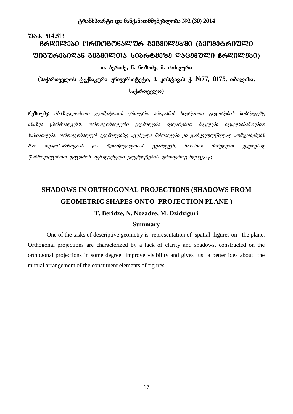# $733.514.513$  $R$ ᲠᲓᲘᲚᲔᲑᲘ ᲝᲠᲗᲝᲒᲝᲜᲐᲚᲣᲠ ᲒᲔᲒᲛᲘᲚᲔᲑᲨᲘ (ᲒᲔᲝᲛᲔᲢᲠᲘᲣᲚᲘ  $f$ 30376350256 33330505 t036653363 RSG33750 B6205350) თ. ბერიძე, ნ. ნოზაძე, მ. ძიძიგური

 $($ საქართველოს ტექნიკური უნივერსიტეტი, მ. კოსტავას ქ. №77, 0175, თბილისი,  $\iota$ საქართველო)

 $\epsilon$ ოეზიუმე: მხაზველობითი გეომეტრიის ერთ-ერთ ამოცანას სივრცითი ფიგურების სიბრტყეზე  $s$ სახვა წარმოადგენს. ორთოგონალური გეგმილები შედარებით ნაკლები თვალსაჩინოებით  $b$ ასიათდება. ორთოგონალურ გეგმილებზე აგებული ჩრდილები კი გარკვეულწილად აუმჯობესებს მათ თვალსაჩინოებას და შესაძლებლობას გვაძლევს, ნახაზის მიხედვით უკეთესად  $f$ არმოვიდგინოთ ფიგურის შემადგენელი ელემენტების ურთიერთგანლაგებაც.

# **SHADOWS IN ORTHOGONAL PROJECTIONS (SHADOWS FROM GEOMETRIC SHAPES ONTO PROJECTION PLANE )**

#### **T. Beridze, N. Nozadze, M. Dzidziguri**

#### **Summary**

One of the tasks of descriptive geometry is representation of spatial figures on the plane. Orthogonal projections are characterized by a lack of clarity and shadows, constructed on the orthogonal projections in some degree improve visibility and gives us a better idea about the mutual arrangement of the constituent elements of figures.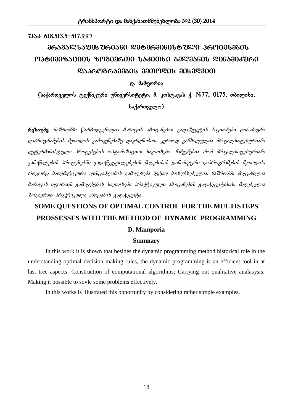## $7336618.513.5+517.997$

# $\delta$ 1633 $\mathbb{C}$ საფეხ ურიანი დეტერმინისტუ $\mathbb{C}$ ი პრ<code>MG</code>ესე<code>and</code> optimizaciis zogierTi sakiTxi belmanis dinamikuri  $R33603633300133000$

დ. მამფორია

 $(k_3)$ ართველოს ტექნიკური უნივერსიტეტი, მ. კოსტავას ქ. №77, 0175, თბილისი, საქართველო $)$ 

 $\epsilon$ უზიუმე: ნაშრომში წარმოდვენილია მართვის ამოცანების გადაწყვეტის საკითხები დინამიური დაპროგრამების მეთოდის გამოყენებაზე დაყრდნობით. კერძოდ განხილულია მრავალსაფეხურიანი დეტერმინისტული პროცესების ოპტიმიზაციის საკითხები. ნაჩვენებია რომ მრავალსაფეხურიანი  $a$ ანაწილების პროცესებში გადაწყვეტილებების მიღებისას დინამიკური დაპროგრამების მეთოდის, როგორც მათემატიკური დისციპლინის გამოყენება მეტად მოხერხებულია. ნაშრომში მოყვანილია მართვის თეორიის გამოყენების საკითხები პრაქტიკული ამოცანების გადაწყვეტისას. მიღებულია  $\delta$ ოვიერთი პრაქტიკული ამოცანის გადაწყვეტა.

# **SOME QUESTIONS OF OPTIMAL CONTROL FOR THE MULTISTEPS PROSSESSES WITH THE METHOD OF DYNAMIC PROGRAMMING**

## **D. Mamporia**

#### **Summary**

In this work it is shown that besides the dynamic programming method historical role in the understanding optimal decision making rules, the dynamic programming is an efficient tool in at last tree aspects: Construction of computational algorithms; Carrying out qualitative analasysis; Making it possible to sovle some problems effectively.

In this works is illustrated this opportunity by considering rather simple examples.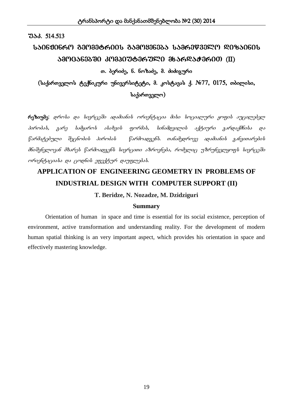## $33.514.513$

# $1506906$ ᲠᲝ ᲒᲔᲝᲛᲔᲢᲠᲘᲘᲡ ᲒᲐᲛᲝᲧᲔᲜᲔᲑᲐ ᲡᲐᲛᲠᲔᲬᲕᲔᲚᲝ ᲓᲘᲖᲐᲘᲜᲘᲡ  $380^\circ$ 363330  $30^\circ$ 30309836320 36362383600 (II)

## თ. ბერიძე, ნ. ნოზაძე, მ. ძიძიგური

 $($ საქართველოს ტექნიკური უნივერსიტეტი, მ. კოსტავას ქ. №77, 0175, თბილისი,  $\iota$ საქართველო)

რეზიუმე: დროსა და სივრცეში ადამიანის ორიენტაცია მისი სოციალური ყოფის აუცილებელ  $b$ კირობას, ვარე სამყაროს ასახვის ფორმას, სინამდვილის აქტიური გარდაქმნისა და  $f$ არმატებული შეცნობის პირობას  $f$ არმოადგენს. თანამედროვე ადამიანის განვითარების .<br>მნიშვნელოვან მხარეს წარმოადგენს სივრცითი აზროვნება, რომელიც უზრუნველყოფს სივრცეში  $\omega$ რიენტაციასა და ცოდნის ეფექტურ დაუფლებას.

# **APPLICATION OF ENGINEERING GEOMETRY IN PROBLEMS OF INDUSTRIAL DESIGN WITH COMPUTER SUPPORT (II)**

**T. Beridze, N. Nozadze, M. Dzidziguri**

#### **Summary**

 Orientation of human in space and time is essential for its social existence, perception of environment, active transformation and understanding reality. For the development of modern human spatial thinking is an very important aspect, which provides his orientation in space and effectively mastering knowledge.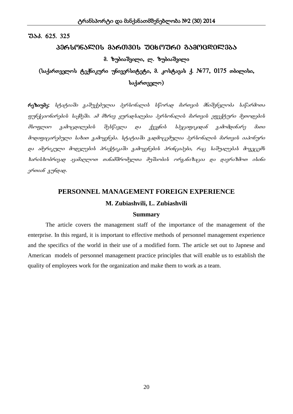## $733. 625. 325$

## ᲞᲔᲠᲡᲝᲜᲐᲚᲘᲡ ᲛᲐᲠᲗᲕᲘᲡ ᲣᲪᲮᲝᲣᲠᲘ ᲒᲐᲛᲝᲪᲓᲘᲚᲔᲑᲐ

## მ. ზუბიაშვილი, ლ. ზუბიაშვილი

 $(i\omega_1)$ ართველოს ტექნიკური უნივერსიტეტი, მ. კოსტავას ქ.  $Ne$ 77, 0175 თბილისი, საქართველო)

 $\kappa$ ეზიუმე: სტატიაში გაშუქებულია პერსონალის სწორად მართვის მნიშვნელობა საწარმოთა gyphfyombompool lisfdgdo. sd dbmog yymsolisopdos 3gmlimbsonali dsmogoli ggggfanmo dgomogololi მსოფლიო გამოცდილების შესწავლა და ქვეყნის სპეციფიკიდან გამომდინარე მათი მოდიფიცირებული სახით გამოყენება. სტატიაში გადმოცემულია პერსონალის მართვის იაპონური და ამერიკული მოდელების პრაქტიკაში გამოყენების პრინციპები, რაც საშუალებას მოგვცემს  $b$ არის $b$ ობრივად ავამაღლოთ თანამშრომელთა მუშაობის ორგანიზაცია და დავრაზმოთ ისინი ერთიან გუნდად.

# **PERSONNEL MANAGEMENT FOREIGN EXPERIENCE M. Zubiashvili, L. Zubiashvili**

## **Summary**

The article covers the management staff of the importance of the management of the enterprise. In this regard, it is important to effective methods of personnel management experience and the specifics of the world in their use of a modified form. The article set out to Japnese and American models of personnel management practice principles that will enable us to establish the quality of employees work for the organization and make them to work as a team.